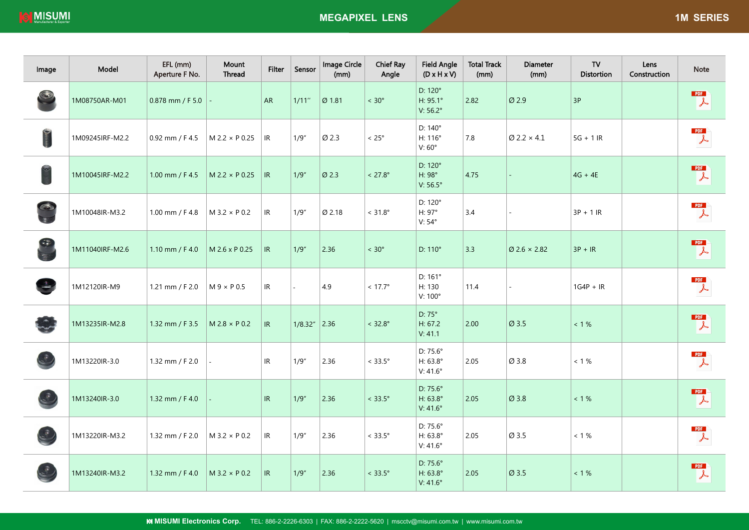| Image            | Model           | EFL (mm)<br>Aperture F No. | Mount<br>Thread        | <b>Filter</b> | Sensor          | Image Circle<br>(mm) | <b>Chief Ray</b><br>Angle | <b>Field Angle</b><br>$(D \times H \times V)$ | <b>Total Track</b><br>(mm) | <b>Diameter</b><br>(mm)         | TV<br><b>Distortion</b> | Lens<br>Construction | <b>Note</b>                                               |
|------------------|-----------------|----------------------------|------------------------|---------------|-----------------|----------------------|---------------------------|-----------------------------------------------|----------------------------|---------------------------------|-------------------------|----------------------|-----------------------------------------------------------|
|                  | 1M08750AR-M01   | 0.878 mm / F 5.0           |                        | <b>AR</b>     | 1/11''          | Ø 1.81               | $< 30^{\circ}$            | D: 120°<br>H: 95.1°<br>V: 56.2°               | 2.82                       | Ø 2.9                           | 3P                      |                      | PDF<br>$\downarrow$                                       |
| <b>Community</b> | 1M09245IRF-M2.2 | $0.92$ mm / F 4.5          | $M 2.2 \times P 0.25$  | IR            | 1/9''           | Ø 2.3                | $< 25^{\circ}$            | D: 140°<br>H: 116°<br>V:60°                   | 7.8                        | $\varnothing$ 2.2 $\times$ 4.1  | $5G + 1IR$              |                      | $\mathbb{Z}$                                              |
|                  | 1M10045IRF-M2.2 | 1.00 mm / F 4.5            | $M 2.2 \times P 0.25$  | IR            | 1/9''           | $Ø$ 2.3              | $< 27.8^{\circ}$          | D: 120°<br>H: 98°<br>V: 56.5°                 | 4.75                       |                                 | $4G + 4E$               |                      | PDF<br>$\overline{\mathcal{A}}$                           |
|                  | 1M10048IR-M3.2  | 1.00 mm / F 4.8            | $M$ 3.2 $\times$ P 0.2 | IR            | 1/9''           | Ø 2.18               | $< 31.8^{\circ}$          | D: 120°<br>H: 97°<br>$V: 54^{\circ}$          | 3.4                        |                                 | $3P + 1IR$              |                      | <b>PDF</b><br>$\lambda$                                   |
|                  | 1M11040IRF-M2.6 | 1.10 mm / $F$ 4.0          | M 2.6 x P 0.25         | IR            | 1/9''           | 2.36                 | $< 30^{\circ}$            | $D:110^{\circ}$                               | 3.3                        | $\varnothing$ 2.6 $\times$ 2.82 | $3P + IR$               |                      | PDF<br>$\downarrow$                                       |
|                  | 1M12120IR-M9    | 1.21 mm / F 2.0            | $M 9 \times P 0.5$     | IR            | ÷.              | 4.9                  | $< 17.7^{\circ}$          | D: 161°<br>H: 130<br>$V:100^\circ$            | 11.4                       |                                 | $1G4P + IR$             |                      | $\begin{array}{c} \mathsf{PDF} \\ \downarrow \end{array}$ |
|                  | 1M13235IR-M2.8  | 1.32 mm / F 3.5            | $M 2.8 \times P 0.2$   | IR            | $1/8.32''$ 2.36 |                      | $< 32.8^{\circ}$          | D: 75°<br>H: 67.2<br>V: 41.1                  | 2.00                       | Ø3.5                            | $< 1 \%$                |                      | <b>PDF</b><br>$\downarrow$                                |
|                  | 1M13220IR-3.0   | 1.32 mm / F 2.0            |                        | IR            | 1/9''           | 2.36                 | $< 33.5^{\circ}$          | D: 75.6°<br>H: 63.8°<br>$V: 41.6^\circ$       | 2.05                       | Ø 3.8                           | $< 1 \%$                |                      | PDF<br>$\downarrow$                                       |
|                  | 1M13240IR-3.0   | 1.32 mm / F 4.0            |                        | IR.           | 1/9''           | 2.36                 | $< 33.5^{\circ}$          | $D: 75.6^{\circ}$<br>H: 63.8°<br>V: 41.6°     | 2.05                       | Ø 3.8                           | $< 1 \%$                |                      | PDF<br>$\overline{\mathcal{A}}$                           |
|                  | 1M13220IR-M3.2  | 1.32 mm / F 2.0            | $M$ 3.2 $\times$ P 0.2 | IR            | 1/9''           | 2.36                 | $< 33.5^{\circ}$          | D: 75.6°<br>H: 63.8°<br>$V:41.6^\circ$        | 2.05                       | Ø 3.5                           | < 1%                    |                      | <b>PDF</b><br>$\lambda$                                   |
|                  | 1M13240IR-M3.2  | 1.32 mm / F 4.0            | $M$ 3.2 $\times$ P 0.2 | IR            | 1/9''           | 2.36                 | $< 33.5^{\circ}$          | D: 75.6°<br>H: 63.8°<br>V: 41.6°              | 2.05                       | Ø 3.5                           | $< 1 \%$                |                      | PDF<br>$\overline{\mathcal{F}}$                           |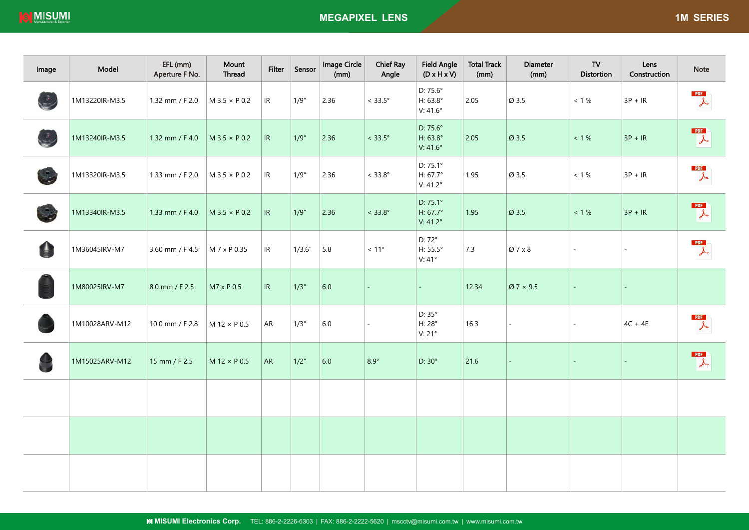| Image      | Model          | EFL (mm)<br>Aperture F No. | Mount<br>Thread        | <b>Filter</b> | Sensor  | Image Circle<br>(mm) | <b>Chief Ray</b><br>Angle | <b>Field Angle</b><br>$(D \times H \times V)$    | <b>Total Track</b><br>(mm) | <b>Diameter</b><br>(mm) | ${\bf TV}$<br><b>Distortion</b> | Lens<br>Construction | Note                                                       |
|------------|----------------|----------------------------|------------------------|---------------|---------|----------------------|---------------------------|--------------------------------------------------|----------------------------|-------------------------|---------------------------------|----------------------|------------------------------------------------------------|
|            | 1M13220IR-M3.5 | 1.32 mm / F 2.0            | $M$ 3.5 $\times$ P 0.2 | IR            | 1/9''   | 2.36                 | $< 33.5^{\circ}$          | D: 75.6°<br>H: 63.8°<br>$V:41.6^\circ$           | 2.05                       | Ø 3.5                   | $< 1 \%$                        | $3P + IR$            | PDF<br>$\lambda$                                           |
| $\ddot{C}$ | 1M13240IR-M3.5 | 1.32 mm / F 4.0            | $M$ 3.5 $\times$ P 0.2 | IR            | 1/9''   | 2.36                 | $<$ 33.5 $^{\circ}$       | D: 75.6°<br>H: 63.8°<br>V: $41.6^\circ$          | 2.05                       | Ø 3.5                   | $< 1 \%$                        | $3P + IR$            | $\begin{array}{c} \hline \text{PDF} \\ \hline \end{array}$ |
|            | 1M13320IR-M3.5 | 1.33 mm / F 2.0            | $M 3.5 \times P 0.2$   | IR            | 1/9''   | 2.36                 | $< 33.8^{\circ}$          | D: 75.1°<br>H: 67.7°<br>V: 41.2°                 | 1.95                       | Ø 3.5                   | $< 1 \%$                        | $3P + IR$            | $\mathbb{R}$                                               |
|            | 1M13340IR-M3.5 | 1.33 mm / F 4.0            | $M$ 3.5 $\times$ P 0.2 | IR            | 1/9''   | 2.36                 | $< 33.8^{\circ}$          | D: 75.1°<br>$H: 67.7^{\circ}$<br>$V: 41.2^\circ$ | 1.95                       | Ø 3.5                   | $< 1 \%$                        | $3P + IR$            | <b>PDF</b><br>$\downarrow$                                 |
| A          | 1M36045IRV-M7  | 3.60 mm / F 4.5            | M 7 x P 0.35           | IR            | 1/3.6'' | 5.8                  | $<11^{\circ}$             | D: 72°<br>H: 55.5°<br>V:41°                      | 7.3                        | Ø7 x 8                  |                                 |                      | PDF<br>$\overline{\mathcal{F}}$                            |
|            | 1M80025IRV-M7  | 8.0 mm / F 2.5             | M7 x P 0.5             | IR.           | 1/3''   | 6.0                  |                           | $\equiv$                                         | 12.34                      | $\varnothing$ 7 × 9.5   |                                 |                      |                                                            |
|            | 1M10028ARV-M12 | 10.0 mm / F 2.8            | M 12 × P 0.5           | AR            | 1/3''   | $6.0\,$              |                           | $D:35^\circ$<br>$H:28^\circ$<br>V: 21°           | 16.3                       | $\sim$                  |                                 | $4C + 4E$            | $\mathbb{Z}$                                               |
|            | 1M15025ARV-M12 | 15 mm / F 2.5              | $M$ 12 $\times$ P 0.5  | AR            | 1/2"    | $6.0$                | $8.9^\circ$               | $D:30^{\circ}$                                   | 21.6                       |                         |                                 |                      | $\begin{array}{c} \hline \text{PDF} \\ \hline \end{array}$ |
|            |                |                            |                        |               |         |                      |                           |                                                  |                            |                         |                                 |                      |                                                            |
|            |                |                            |                        |               |         |                      |                           |                                                  |                            |                         |                                 |                      |                                                            |
|            |                |                            |                        |               |         |                      |                           |                                                  |                            |                         |                                 |                      |                                                            |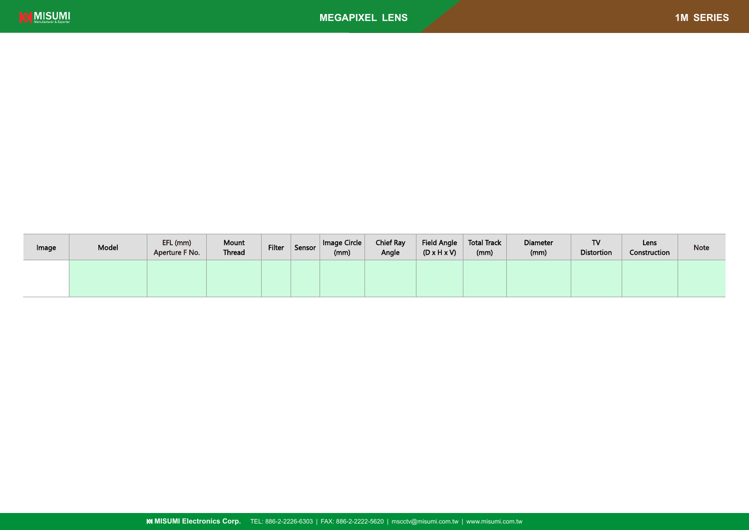

| Image | Model | EFL (mm)<br>Aperture F No. | Mount<br>Thread | Filter | Sensor | Image Circle<br>(mm) | <b>Chief Ray</b><br>Angle | <b>Field Angle</b><br>$(D \times H \times V)$ | <b>Total Track</b><br>(mm) | <b>Diameter</b><br>(mm) | TV<br><b>Distortion</b> | Lens<br>Construction | Note |
|-------|-------|----------------------------|-----------------|--------|--------|----------------------|---------------------------|-----------------------------------------------|----------------------------|-------------------------|-------------------------|----------------------|------|
|       |       |                            |                 |        |        |                      |                           |                                               |                            |                         |                         |                      |      |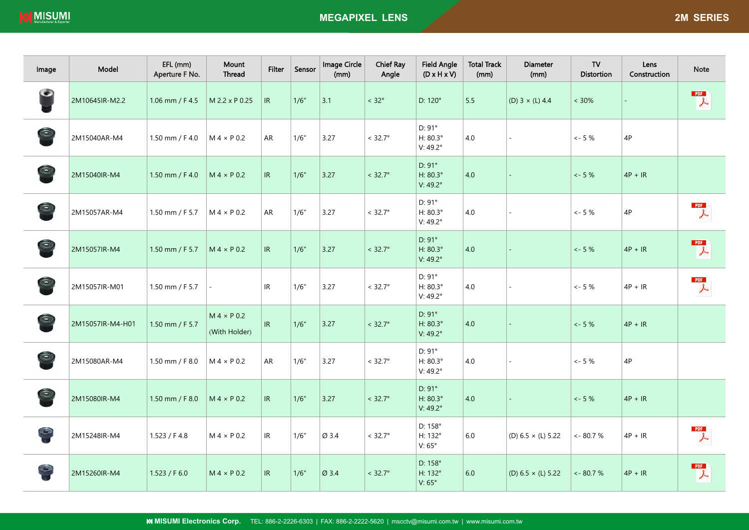| Image          | Model            | EFL (mm)<br>Aperture F No. | Mount<br>Thread                     | <b>Filter</b>                     | Sensor | Image Circle<br>(mm) | <b>Chief Ray</b><br>Angle | <b>Field Angle</b><br>$(D \times H \times V)$             | <b>Total Track</b><br>(mm) | <b>Diameter</b><br>(mm)   | ${\sf TV}$<br><b>Distortion</b> | Lens<br>Construction | Note                       |
|----------------|------------------|----------------------------|-------------------------------------|-----------------------------------|--------|----------------------|---------------------------|-----------------------------------------------------------|----------------------------|---------------------------|---------------------------------|----------------------|----------------------------|
| $\bullet$      | 2M10645IR-M2.2   | 1.06 mm / F 4.5            | M 2.2 x P 0.25                      | IR                                | 1/6"   | 3.1                  | $< 32^{\circ}$            | D: 120°                                                   | 5.5                        | (D) $3 \times (L)$ 4.4    | $< 30\%$                        |                      | PDF<br>$\downarrow$        |
| $\odot$        | 2M15040AR-M4     | 1.50 mm / F 4.0            | $M 4 \times P 0.2$                  | AR                                | 1/6''  | 3.27                 | $< 32.7^{\circ}$          | D: 91°<br>H: 80.3°<br>$V: 49.2^{\circ}$                   | 4.0                        |                           | $<-5\%$                         | 4P                   |                            |
| $\circledcirc$ | 2M15040IR-M4     | 1.50 mm / $F$ 4.0          | $M 4 \times P 0.2$                  | $\ensuremath{\mathsf{IR}}\xspace$ | 1/6''  | 3.27                 | $< 32.7^{\circ}$          | $D: 91^{\circ}$<br>H: 80.3°<br>$V: 49.2^{\circ}$          | 4.0                        |                           | $<-5%$                          | $4P + IR$            |                            |
| $\odot$        | 2M15057AR-M4     | 1.50 mm / F 5.7            | $M 4 \times P 0.2$                  | AR                                | 1/6''  | 3.27                 | $< 32.7^\circ$            | D: 91°<br>H: 80.3°<br>$V: 49.2^{\circ}$                   | 4.0                        |                           | $<-5%$                          | 4P                   | PDF<br>$\lambda$           |
| $\odot$        | 2M15057IR-M4     | 1.50 mm / F 5.7            | $M 4 \times P 0.2$                  | $\ensuremath{\mathsf{IR}}\xspace$ | 1/6''  | $3.27$               | $< 32.7^{\circ}$          | $D: 91^{\circ}$<br>$H: 80.3^{\circ}$<br>$V: 49.2^{\circ}$ | 4.0                        |                           | $<-5%$                          | $4P + IR$            | <b>PDF</b><br>$\downarrow$ |
| $\odot$        | 2M15057IR-M01    | 1.50 mm / F 5.7            |                                     | IR                                | 1/6"   | 3.27                 | $<$ 32.7 $^{\circ}$       | D: 91°<br>$H: 80.3^{\circ}$<br>$V: 49.2^{\circ}$          | 4.0                        |                           | $<-5%$                          | $4P + IR$            | PDF<br>$\lambda$           |
| $\odot$        | 2M15057IR-M4-H01 | 1.50 mm / F 5.7            | $M 4 \times P 0.2$<br>(With Holder) | IR                                | 1/6''  | 3.27                 | $< 32.7^{\circ}$          | D: 91°<br>$H: 80.3^{\circ}$<br>V: 49.2°                   | 4.0                        |                           | $<-5%$                          | $4P + IR$            |                            |
| $\odot$        | 2M15080AR-M4     | 1.50 mm / F 8.0            | $M 4 \times P 0.2$                  | AR                                | 1/6"   | 3.27                 | $< 32.7^{\circ}$          | D: 91°<br>H: 80.3°<br>$V: 49.2^{\circ}$                   | 4.0                        |                           | $<-5%$                          | 4P                   |                            |
| $\circledcirc$ | 2M15080IR-M4     | 1.50 mm / F 8.0            | $M 4 \times P 0.2$                  | $\ensuremath{\mathsf{IR}}\xspace$ | 1/6''  | 3.27                 | $< 32.7^{\circ}$          | $D: 91^{\circ}$<br>H: 80.3°<br>V: 49.2°                   | 4.0                        |                           | $<-5%$                          | $4P + IR$            |                            |
| $\Theta$       | 2M15248IR-M4     | 1.523 / F 4.8              | $M 4 \times P 0.2$                  | IR                                | 1/6''  | Ø 3.4                | $< 32.7^{\circ}$          | D: 158°<br>H: 132°<br>V: 65°                              | $6.0\,$                    | (D) $6.5 \times (L) 5.22$ | $\leftarrow 80.7 \%$            | $4P + IR$            | PDF<br>$\lambda$           |
| $\mathbb{C}$   | 2M15260IR-M4     | 1.523 / F 6.0              | $M 4 \times P 0.2$                  | IR                                | 1/6"   | Ø 3.4                | $< 32.7^{\circ}$          | D: 158°<br>H: 132°<br>V: $65^\circ$                       | 6.0                        | (D) $6.5 \times (L) 5.22$ | $\lt$ - 80.7 %                  | $4P + IR$            | PDF<br>$\downarrow$        |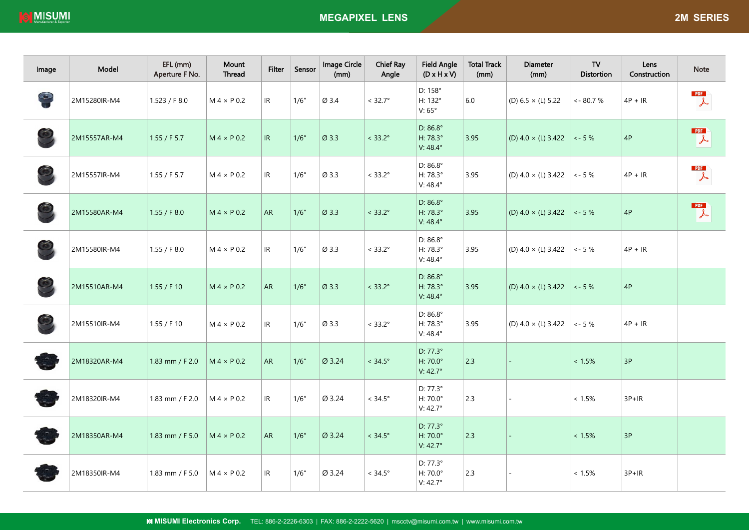| Image      | Model        | EFL (mm)<br>Aperture F No. | Mount<br>Thread    | <b>Filter</b> | Sensor | Image Circle<br>(mm) | <b>Chief Ray</b><br>Angle | <b>Field Angle</b><br>$(D \times H \times V)$      | <b>Total Track</b><br>(mm) | <b>Diameter</b><br>(mm)    | ${\sf TV}$<br><b>Distortion</b> | Lens<br>Construction | <b>Note</b>                                               |
|------------|--------------|----------------------------|--------------------|---------------|--------|----------------------|---------------------------|----------------------------------------------------|----------------------------|----------------------------|---------------------------------|----------------------|-----------------------------------------------------------|
| $\bigcirc$ | 2M15280IR-M4 | 1.523 / F 8.0              | $M 4 \times P 0.2$ | IR            | 1/6''  | Ø 3.4                | $< 32.7^{\circ}$          | D: 158°<br>H: 132°<br>V:65°                        | $6.0\,$                    | (D) $6.5 \times (L) 5.22$  | $<-80.7%$                       | $4P + IR$            | PDF<br>$\frac{1}{2}$                                      |
|            | 2M15557AR-M4 | 1.55 / F 5.7               | $M 4 \times P 0.2$ | IR            | 1/6''  | Ø 3.3                | $< 33.2^{\circ}$          | D: 86.8°<br>H: 78.3°<br>$V: 48.4^{\circ}$          | 3.95                       | (D) $4.0 \times (L) 3.422$ | $<-5%$                          | $4\mathsf{P}$        | PDF<br>$\downarrow$                                       |
|            | 2M15557IR-M4 | 1.55 / F 5.7               | $M 4 \times P 0.2$ | IR            | 1/6''  | Ø 3.3                | $< 33.2^{\circ}$          | $D: 86.8^{\circ}$<br>H: 78.3°<br>$V: 48.4^{\circ}$ | 3.95                       | (D) $4.0 \times (L) 3.422$ | $\sim$ - 5 $\%$                 | $4P + IR$            | $\mathbb{Z}$                                              |
|            | 2M15580AR-M4 | 1.55 / F 8.0               | $M 4 \times P 0.2$ | <b>AR</b>     | 1/6''  | Ø 3.3                | $< 33.2^{\circ}$          | D: 86.8°<br>H: 78.3°<br>$V: 48.4^{\circ}$          | 3.95                       | (D) $4.0 \times (L)$ 3.422 | $\lt$ - 5 %                     | $4\mathsf{P}$        | $\begin{array}{c}\n\text{PDF} \\ \downarrow\n\end{array}$ |
|            | 2M15580IR-M4 | 1.55 / F 8.0               | $M 4 \times P 0.2$ | IR.           | 1/6''  | Ø 3.3                | $< 33.2^{\circ}$          | $D: 86.8^{\circ}$<br>H: 78.3°<br>$V: 48.4^{\circ}$ | 3.95                       | (D) $4.0 \times (L) 3.422$ | $<-5%$                          | $4P + IR$            |                                                           |
|            | 2M15510AR-M4 | 1.55 / F 10                | $M 4 \times P 0.2$ | <b>AR</b>     | 1/6''  | Ø 3.3                | $< 33.2^{\circ}$          | D: $86.8^\circ$<br>H: 78.3°<br>$V: 48.4^{\circ}$   | 3.95                       | (D) $4.0 \times (L) 3.422$ | $<-5%$                          | $4\mathsf{P}$        |                                                           |
|            | 2M15510IR-M4 | 1.55 / F 10                | $M 4 \times P 0.2$ | IR.           | 1/6''  | Ø 3.3                | $< 33.2^{\circ}$          | D: $86.8^\circ$<br>H: 78.3°<br>$V: 48.4^{\circ}$   | 3.95                       | (D) $4.0 \times (L)$ 3.422 | $<-5%$                          | $4P + IR$            |                                                           |
|            | 2M18320AR-M4 | 1.83 mm / F 2.0            | $M 4 \times P 0.2$ | <b>AR</b>     | 1/6''  | Ø 3.24               | $< 34.5^{\circ}$          | $D: 77.3^{\circ}$<br>H: 70.0°<br>V: $42.7^\circ$   | 2.3                        |                            | $< 1.5\%$                       | $3P$                 |                                                           |
|            | 2M18320IR-M4 | 1.83 mm / F 2.0            | $M 4 \times P 0.2$ | IR            | 1/6''  | Ø 3.24               | $< 34.5^{\circ}$          | D: 77.3°<br>H: 70.0°<br>$V: 42.7^\circ$            | 2.3                        |                            | $< 1.5\%$                       | $3P+IR$              |                                                           |
|            | 2M18350AR-M4 | 1.83 mm / F 5.0            | $M 4 \times P 0.2$ | ${\sf AR}$    | 1/6''  | Ø 3.24               | $< 34.5^{\circ}$          | D: 77.3°<br>H: 70.0°<br>$V: 42.7^{\circ}$          | 2.3                        |                            | $< 1.5\%$                       | 3P                   |                                                           |
|            | 2M18350IR-M4 | 1.83 mm / F $5.0$          | $M 4 \times P 0.2$ | IR            | 1/6"   | Ø 3.24               | $< 34.5^{\circ}$          | D: 77.3°<br>H: 70.0°<br>V: $42.7^\circ$            | 2.3                        |                            | < 1.5%                          | $3P+IR$              |                                                           |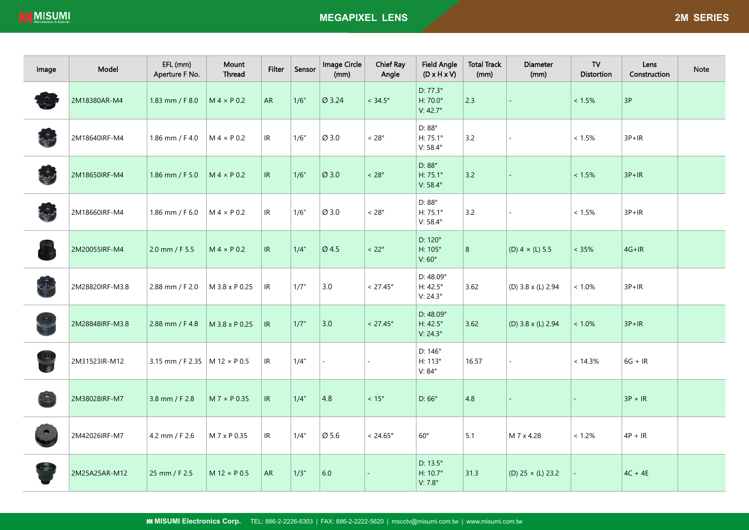| Image     | Model           | EFL (mm)<br>Aperture F No.             | Mount<br>Thread       | <b>Filter</b> | Sensor | Image Circle<br>(mm) | <b>Chief Ray</b><br>Angle | <b>Field Angle</b><br>$(D \times H \times V)$ | <b>Total Track</b><br>(mm) | <b>Diameter</b><br>(mm)  | <b>TV</b><br><b>Distortion</b> | Lens<br>Construction | <b>Note</b> |
|-----------|-----------------|----------------------------------------|-----------------------|---------------|--------|----------------------|---------------------------|-----------------------------------------------|----------------------------|--------------------------|--------------------------------|----------------------|-------------|
|           | 2M18380AR-M4    | 1.83 mm / F 8.0                        | $M 4 \times P 0.2$    | <b>AR</b>     | 1/6"   | Ø 3.24               | $< 34.5^{\circ}$          | $D: 77.3^{\circ}$<br>H: 70.0°<br>V: 42.7°     | 2.3                        |                          | $< 1.5\%$                      | 3P                   |             |
|           | 2M18640IRF-M4   | 1.86 mm / F 4.0                        | $M 4 \times P 0.2$    | IR.           | 1/6"   | Ø 3.0                | $< 28^{\circ}$            | D: 88°<br>$H: 75.1^{\circ}$<br>V: 58.4°       | 3.2                        |                          | $< 1.5\%$                      | $3P+IR$              |             |
|           | 2M18650IRF-M4   | 1.86 mm / F 5.0                        | $M 4 \times P 0.2$    | IR            | 1/6''  | Ø 3.0                | $< 28^{\circ}$            | D: 88°<br>H: 75.1°<br>V: 58.4°                | 3.2                        |                          | $< 1.5\%$                      | $3P+IR$              |             |
|           | 2M18660IRF-M4   | 1.86 mm / F 6.0                        | $M 4 \times P 0.2$    | IR.           | 1/6''  | Ø 3.0                | $< 28^{\circ}$            | D: 88°<br>H: 75.1°<br>V: 58.4°                | 3.2                        |                          | < 1.5%                         | $3P+IR$              |             |
|           | 2M20055IRF-M4   | 2.0 mm / F 5.5                         | $M 4 \times P 0.2$    | IR            | 1/4"   | $\varnothing$ 4.5    | $< 22^{\circ}$            | D: 120°<br>H: 105°<br>V: 60°                  | 8                          | (D) $4 \times (L) 5.5$   | $< 35\%$                       | $4G+IR$              |             |
|           | 2M28820IRF-M3.8 | 2.88 mm / F 2.0                        | M 3.8 x P 0.25        | IR            | 1/7''  | 3.0                  | $< 27.45^{\circ}$         | D: 48.09°<br>H: 42.5°<br>V: $24.3^\circ$      | 3.62                       | (D) 3.8 x (L) 2.94       | $< 1.0\%$                      | $3P+IR$              |             |
|           | 2M28848IRF-M3.8 | 2.88 mm / F 4.8                        | M 3.8 x P 0.25        | IR            | 1/7"   | 3.0                  | $< 27.45^{\circ}$         | $D: 48.09^{\circ}$<br>H: 42.5°<br>V: 24.3°    | $3.62$                     | (D) 3.8 x (L) 2.94       | $< 1.0\%$                      | $3P+IR$              |             |
|           | 2M31523IR-M12   | 3.15 mm / F 2.35   M 12 $\times$ P 0.5 |                       | IR            | 1/4"   |                      |                           | D: 146°<br>H: 113°<br>V: 84°                  | 16.57                      |                          | < 14.3%                        | $6G + IR$            |             |
| $\bullet$ | 2M38028IRF-M7   | 3.8 mm / F 2.8                         | $M 7 \times P 0.35$   | IR            | 1/4"   | 4.8                  | $< 15^{\circ}$            | D: 66°                                        | 4.8                        |                          |                                | $3P + IR$            |             |
|           | 2M42026IRF-M7   | 4.2 mm / F 2.6                         | M 7 x P 0.35          | IR.           | 1/4"   | Ø 5.6                | $< 24.65^{\circ}$         | $60^{\circ}$                                  | 5.1                        | M 7 x 4.28               | $< 1.2\%$                      | $4P + IR$            |             |
|           | 2M25A25AR-M12   | 25 mm / F 2.5                          | $M$ 12 $\times$ P 0.5 | AR            | 1/3''  | $6.0\,$              |                           | D: 13.5°<br>H: 10.7°<br>V: 7.8°               | $31.3$                     | (D) $25 \times (L) 23.2$ |                                | $4C + 4E$            |             |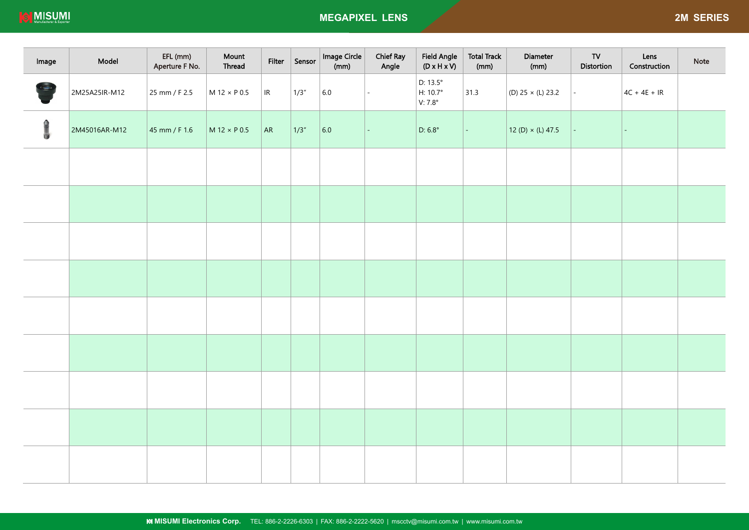**IS MISUMI** 

| Image        | Model         | EFL (mm)<br>Aperture F No. | Mount<br>Thread       | Filter | Sensor | Image Circle<br>(mm) | <b>Chief Ray</b><br>Angle | <b>Field Angle</b><br>$(D \times H \times V)$          | <b>Total Track</b><br>(mm) | Diameter<br>(mm)        | ${\sf TV}$<br>Distortion | Lens<br>Construction | Note |
|--------------|---------------|----------------------------|-----------------------|--------|--------|----------------------|---------------------------|--------------------------------------------------------|----------------------------|-------------------------|--------------------------|----------------------|------|
| <b>Cambo</b> | 2M25A25IR-M12 | 25 mm / F 2.5              | $M12 \times P0.5$     | R      | 1/3''  | 6.0                  |                           | D: $13.5^\circ$<br>$H: 10.7^{\circ}$<br>V: $7.8^\circ$ | 31.3                       | (D) 25 × (L) 23.2       |                          | $4C + 4E + IR$       |      |
| G            | 2M45016AR-M12 | 45 mm / F 1.6              | $M$ 12 $\times$ P 0.5 | AR     | 1/3''  | 6.0                  |                           | D: $6.8^\circ$                                         | $\equiv$                   | $12(D) \times (L) 47.5$ |                          |                      |      |
|              |               |                            |                       |        |        |                      |                           |                                                        |                            |                         |                          |                      |      |
|              |               |                            |                       |        |        |                      |                           |                                                        |                            |                         |                          |                      |      |
|              |               |                            |                       |        |        |                      |                           |                                                        |                            |                         |                          |                      |      |
|              |               |                            |                       |        |        |                      |                           |                                                        |                            |                         |                          |                      |      |
|              |               |                            |                       |        |        |                      |                           |                                                        |                            |                         |                          |                      |      |
|              |               |                            |                       |        |        |                      |                           |                                                        |                            |                         |                          |                      |      |
|              |               |                            |                       |        |        |                      |                           |                                                        |                            |                         |                          |                      |      |
|              |               |                            |                       |        |        |                      |                           |                                                        |                            |                         |                          |                      |      |
|              |               |                            |                       |        |        |                      |                           |                                                        |                            |                         |                          |                      |      |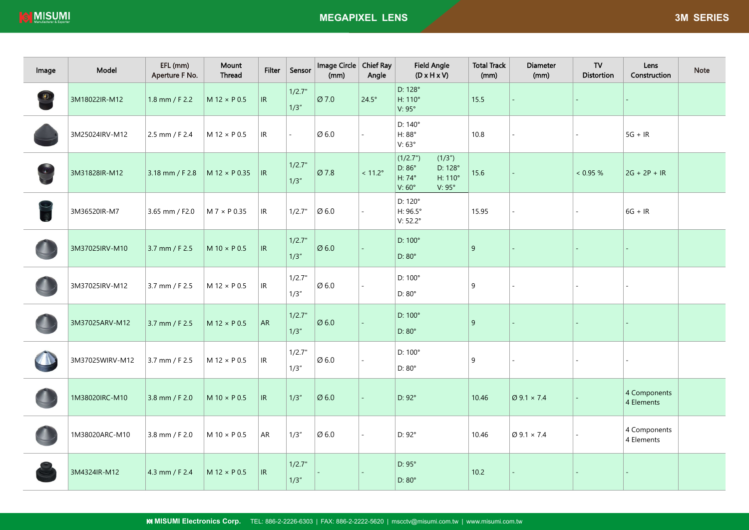| Image                                                         | Model           | EFL (mm)<br>Aperture F No. | Mount<br><b>Thread</b> | <b>Filter</b> | Sensor          | Image Circle   Chief Ray<br>(mm) | Angle            | <b>Field Angle</b><br>$(D \times H \times V)$                                                          | <b>Total Track</b><br>(mm) | Diameter<br>(mm)               | TV<br><b>Distortion</b> | Lens<br>Construction       | <b>Note</b> |
|---------------------------------------------------------------|-----------------|----------------------------|------------------------|---------------|-----------------|----------------------------------|------------------|--------------------------------------------------------------------------------------------------------|----------------------------|--------------------------------|-------------------------|----------------------------|-------------|
| $\left(\begin{matrix} \bullet \\ \bullet \end{matrix}\right)$ | 3M18022IR-M12   | 1.8 mm / F 2.2             | $M$ 12 $\times$ P 0.5  | IR            | 1/2.7"<br>1/3'' | Ø 7.0                            | $24.5^\circ$     | D: 128°<br>H: 110°<br>$V: 95^\circ$                                                                    | 15.5                       |                                |                         |                            |             |
|                                                               | 3M25024IRV-M12  | 2.5 mm / F 2.4             | M 12 × P 0.5           | IR            | $\mathbf{r}$    | $\varnothing$ 6.0                |                  | $D: 140^{\circ}$<br>H: 88°<br>V:63°                                                                    | 10.8                       |                                |                         | $5G + IR$                  |             |
|                                                               | 3M31828IR-M12   | 3.18 mm / F 2.8            | M 12 $\times$ P 0.35   | R             | 1/2.7"<br>1/3'' | Ø 7.8                            | $< 11.2^{\circ}$ | (1/2.7")<br>(1/3")<br>D: 86°<br>D: 128°<br>$H: 74^{\circ}$<br>H: 110°<br>$V:60^\circ$<br>$V: 95^\circ$ | 15.6                       |                                | < 0.95 %                | $2G + 2P + IR$             |             |
|                                                               | 3M36520IR-M7    | 3.65 mm / F2.0             | $M 7 \times P 0.35$    | IR            | 1/2.7"          | $\varnothing$ 6.0                |                  | D: 120°<br>H: 96.5°<br>V: $52.2^\circ$                                                                 | 15.95                      |                                |                         | $6G + IR$                  |             |
|                                                               | 3M37025IRV-M10  | 3.7 mm / F 2.5             | $M$ 10 $\times$ P 0.5  | IR            | 1/2.7"<br>1/3'' | $\varnothing$ 6.0                |                  | D: 100°<br>$D:80^{\circ}$                                                                              | $\overline{9}$             |                                |                         |                            |             |
|                                                               | 3M37025IRV-M12  | 3.7 mm / F 2.5             | $M$ 12 $\times$ P 0.5  | IR            | 1/2.7"<br>1/3'' | $\varnothing$ 6.0                |                  | $D:100^{\circ}$<br>$D: 80^\circ$                                                                       | 9                          |                                |                         |                            |             |
|                                                               | 3M37025ARV-M12  | 3.7 mm / F 2.5             | $M$ 12 $\times$ P 0.5  | AR            | 1/2.7"<br>1/3'' | $\varnothing$ 6.0                |                  | D: 100°<br>$D:80^{\circ}$                                                                              | $\overline{9}$             |                                |                         |                            |             |
|                                                               | 3M37025WIRV-M12 | 3.7 mm / F 2.5             | $M$ 12 $\times$ P 0.5  | IR            | 1/2.7"<br>1/3'' | $\varnothing$ 6.0                |                  | $D:100^\circ$<br>$D:80^\circ$                                                                          | $9\,$                      |                                |                         |                            |             |
|                                                               | 1M38020IRC-M10  | 3.8 mm / F 2.0             | M 10 $\times$ P 0.5    | IR            | 1/3''           | $\varnothing$ 6.0                |                  | D: 92°                                                                                                 | 10.46                      | $\varnothing$ 9.1 $\times$ 7.4 |                         | 4 Components<br>4 Elements |             |
|                                                               | 1M38020ARC-M10  | 3.8 mm / F 2.0             | M 10 $\times$ P 0.5    | ${\sf AR}$    | 1/3''           | $\varnothing$ 6.0                | $\mathbf{r}$     | D: 92°                                                                                                 | 10.46                      | $\varnothing$ 9.1 $\times$ 7.4 |                         | 4 Components<br>4 Elements |             |
|                                                               | 3M4324IR-M12    | 4.3 mm / F 2.4             | $M$ 12 $\times$ P 0.5  | IR            | 1/2.7"<br>1/3'' |                                  |                  | $D: 95^\circ$<br>$D: 80^\circ$                                                                         | 10.2                       |                                |                         |                            |             |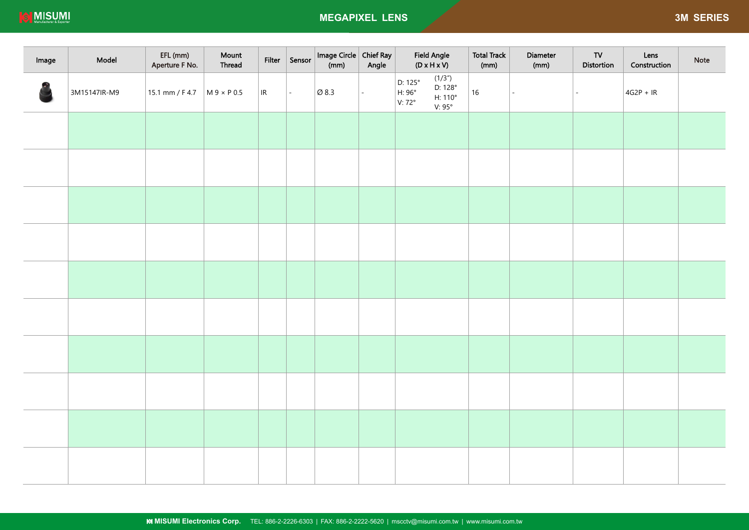| Image | Model        | EFL (mm)<br>Aperture F No. | Mount<br>Thread  | Filter | Sensor           | Image Circle   Chief Ray<br>(mm) | Angle | <b>Field Angle</b><br>$(D \times H \times V)$                                                 | <b>Total Track</b><br>(mm) | Diameter<br>(mm) | TV<br>Distortion | Lens<br>Construction | Note |
|-------|--------------|----------------------------|------------------|--------|------------------|----------------------------------|-------|-----------------------------------------------------------------------------------------------|----------------------------|------------------|------------------|----------------------|------|
|       | 3M15147IR-M9 | 15.1 mm / F 4.7            | $M9 \times P0.5$ | R      | $\omega_{\rm c}$ | $\varnothing$ 8.3                | ÷.    | (1/3")<br>D: 125°<br>D: 128°<br>H: 96°<br>$H:110^{\circ}$<br>$V:72^{\circ}$<br>$V:95^{\circ}$ | 16                         |                  |                  | $4G2P + IR$          |      |
|       |              |                            |                  |        |                  |                                  |       |                                                                                               |                            |                  |                  |                      |      |
|       |              |                            |                  |        |                  |                                  |       |                                                                                               |                            |                  |                  |                      |      |
|       |              |                            |                  |        |                  |                                  |       |                                                                                               |                            |                  |                  |                      |      |
|       |              |                            |                  |        |                  |                                  |       |                                                                                               |                            |                  |                  |                      |      |
|       |              |                            |                  |        |                  |                                  |       |                                                                                               |                            |                  |                  |                      |      |
|       |              |                            |                  |        |                  |                                  |       |                                                                                               |                            |                  |                  |                      |      |
|       |              |                            |                  |        |                  |                                  |       |                                                                                               |                            |                  |                  |                      |      |
|       |              |                            |                  |        |                  |                                  |       |                                                                                               |                            |                  |                  |                      |      |
|       |              |                            |                  |        |                  |                                  |       |                                                                                               |                            |                  |                  |                      |      |
|       |              |                            |                  |        |                  |                                  |       |                                                                                               |                            |                  |                  |                      |      |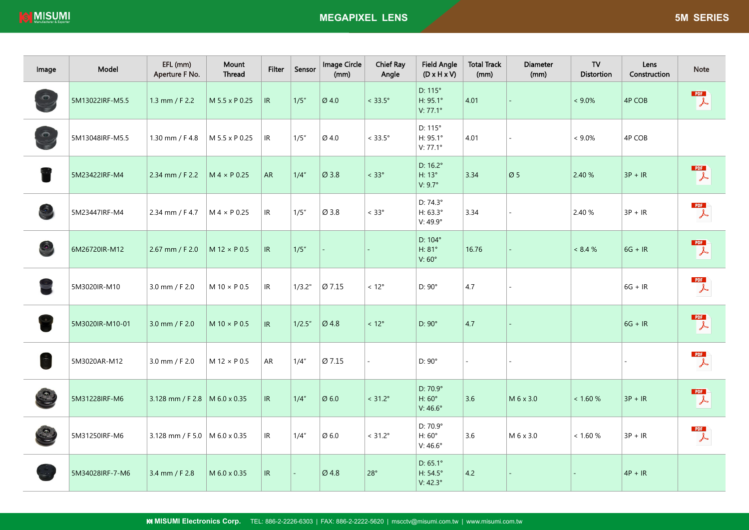| Image         | Model           | EFL (mm)<br>Aperture F No.      | Mount<br>Thread       | <b>Filter</b>                     | Sensor  | Image Circle<br>(mm) | <b>Chief Ray</b><br>Angle | <b>Field Angle</b><br>$(D \times H \times V)$ | <b>Total Track</b><br>(mm) | <b>Diameter</b><br>(mm)  | TV<br><b>Distortion</b> | Lens<br>Construction | <b>Note</b>                                               |
|---------------|-----------------|---------------------------------|-----------------------|-----------------------------------|---------|----------------------|---------------------------|-----------------------------------------------|----------------------------|--------------------------|-------------------------|----------------------|-----------------------------------------------------------|
|               | 5M13022IRF-M5.5 | 1.3 mm / F 2.2                  | M 5.5 x P 0.25        | IR                                | 1/5''   | Ø4.0                 | $< 33.5^{\circ}$          | $D: 115^\circ$<br>H: 95.1°<br>V: 77.1°        | 4.01                       |                          | $< 9.0\%$               | <b>4P COB</b>        | PDF<br>$\downarrow$                                       |
| $\odot$       | 5M13048IRF-M5.5 | 1.30 mm / F 4.8                 | M 5.5 x P 0.25        | IR                                | 1/5''   | Ø 4.0                | $< 33.5^{\circ}$          | D: 115°<br>H: 95.1°<br>V: 77.1°               | 4.01                       |                          | $< 9.0\%$               | 4P COB               |                                                           |
|               | 5M23422IRF-M4   | 2.34 mm / F 2.2                 | $M 4 \times P 0.25$   | <b>AR</b>                         | 1/4"    | Ø 3.8                | $< 33^{\circ}$            | D: 16.2°<br>H: 13°<br>V: 9.7°                 | 3.34                       | Ø <sub>5</sub>           | 2.40 %                  | $3P + IR$            | $\mathbb{Z}$                                              |
|               | 5M23447IRF-M4   | 2.34 mm / F 4.7                 | $M 4 \times P 0.25$   | IR                                | 1/5''   | $\varnothing$ 3.8    | $< 33^{\circ}$            | D: 74.3°<br>H: 63.3°<br>V: 49.9°              | 3.34                       | $\overline{\phantom{a}}$ | 2.40 %                  | $3P + IR$            | PDF<br>$\downarrow$                                       |
|               | 6M26720IR-M12   | 2.67 mm / F 2.0                 | $M$ 12 $\times$ P 0.5 | IR                                | 1/5''   |                      |                           | D: 104°<br>H: 81°<br>V: 60°                   | 16.76                      |                          | $< 8.4 \%$              | $6G + IR$            | <b>PDF</b><br>$\downarrow$                                |
|               | 5M3020IR-M10    | 3.0 mm / F 2.0                  | $M$ 10 $\times$ P 0.5 | IR                                | 1/3.2"  | Ø 7.15               | $< 12^{\circ}$            | $D: 90^\circ$                                 | 4.7                        |                          |                         | $6G + IR$            | $\begin{array}{c} \mathsf{PDF} \\ \downarrow \end{array}$ |
|               | 5M3020IR-M10-01 | 3.0 mm / F 2.0                  | $M$ 10 $\times$ P 0.5 | IR                                | 1/2.5'' | Ø 4.8                | $< 12^{\circ}$            | $D: 90^\circ$                                 | 4.7                        |                          |                         | $6G + IR$            | PDF<br>$\downarrow$                                       |
| $\frac{1}{2}$ | 5M3020AR-M12    | 3.0 mm / F 2.0                  | $M$ 12 $\times$ P 0.5 | AR                                | 1/4''   | Ø 7.15               |                           | $D: 90^\circ$                                 |                            |                          |                         |                      | PDF<br>$\frac{1}{2}$                                      |
|               | 5M31228IRF-M6   | 3.128 mm / F 2.8   M 6.0 x 0.35 |                       | IR                                | 1/4"    | Ø6.0                 | $< 31.2^{\circ}$          | D: 70.9°<br>H: 60°<br>V: 46.6°                | 3.6                        | M 6 x 3.0                | < 1.60 %                | $3P + IR$            | PDF<br>$\downarrow$                                       |
|               | 5M31250IRF-M6   | 3.128 mm / F 5.0   M 6.0 x 0.35 |                       | IR                                | 1/4"    | $\varnothing$ 6.0    | $< 31.2^{\circ}$          | D: 70.9°<br>H: 60°<br>$V:46.6^\circ$          | 3.6                        | M 6 x 3.0                | < 1.60 %                | $3P + IR$            | PDF<br>$\downarrow$                                       |
|               | 5M34028IRF-7-M6 | 3.4 mm / F 2.8                  | M 6.0 x 0.35          | $\ensuremath{\mathsf{IR}}\xspace$ | ä,      | Ø4.8                 | 28°                       | D: 65.1°<br>H: 54.5°<br>V: 42.3°              | 4.2                        |                          |                         | $4P + IR$            |                                                           |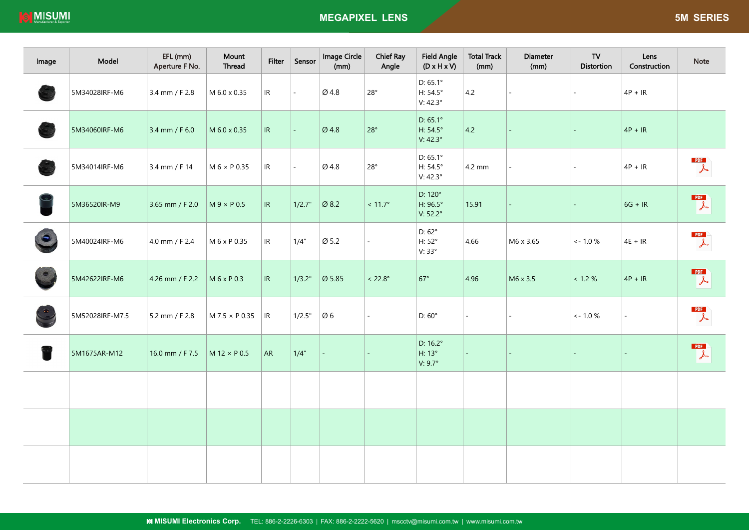| Image | Model           | EFL (mm)<br>Aperture F No. | Mount<br>Thread     | Filter                            | Sensor                   | Image Circle<br>(mm) | <b>Chief Ray</b><br>Angle | <b>Field Angle</b><br>$(D \times H \times V)$           | <b>Total Track</b><br>(mm) | <b>Diameter</b><br>(mm) | TV<br>Distortion | Lens<br>Construction | <b>Note</b>                      |
|-------|-----------------|----------------------------|---------------------|-----------------------------------|--------------------------|----------------------|---------------------------|---------------------------------------------------------|----------------------------|-------------------------|------------------|----------------------|----------------------------------|
|       | 5M34028IRF-M6   | 3.4 mm / F 2.8             | M 6.0 x 0.35        | IR                                | $\sim$                   | Ø 4.8                | $28^\circ$                | $D: 65.1^{\circ}$<br>H: $54.5^\circ$<br>V: 42.3°        | 4.2                        | $\mathbf{r}$            |                  | $4P + IR$            |                                  |
|       | 5M34060IRF-M6   | 3.4 mm / F 6.0             | M 6.0 x 0.35        | $\ensuremath{\mathsf{IR}}\xspace$ | L.                       | Ø 4.8                | 28°                       | $D: 65.1^{\circ}$<br>H: $54.5^\circ$<br>V: $42.3^\circ$ | 4.2                        |                         |                  | $4P + IR$            |                                  |
|       | 5M34014IRF-M6   | 3.4 mm / F 14              | $M 6 \times P 0.35$ | IR                                | $\overline{\phantom{a}}$ | Ø 4.8                | $28^\circ$                | $D: 65.1^{\circ}$<br>H: $54.5^\circ$<br>V: $42.3^\circ$ | 4.2 mm                     | ÷.                      | $\sim$           | $4P + IR$            | PDF<br>$\downarrow$              |
|       | 5M36520IR-M9    | 3.65 mm / F 2.0            | $M9 \times P0.5$    | IR                                | 1/2.7"                   | Ø 8.2                | $< 11.7^{\circ}$          | D: 120°<br>H: 96.5°<br>$V: 52.2^{\circ}$                | 15.91                      |                         |                  | $6G + IR$            | <b>PDF</b><br>$\downarrow$       |
|       | 5M40024IRF-M6   | 4.0 mm / F 2.4             | M 6 x P 0.35        | IR                                | 1/4"                     | Ø 5.2                |                           | $D:62^{\circ}$<br>$H:52^{\circ}$<br>V: 33°              | 4.66                       | M6 x 3.65               | $\lt$ - 1.0 %    | $4E + IR$            | PDF<br>$\downarrow$              |
|       | 5M42622IRF-M6   | 4.26 mm / F 2.2            | M 6 x P 0.3         | IR                                | 1/3.2"                   | $\varnothing$ 5.85   | $< 22.8^\circ$            | $67^\circ$                                              | 4.96                       | M6 x 3.5                | < 1.2 %          | $4P + IR$            | PDF<br>$\overline{\mathcal{A}}$  |
|       | 5M52028IRF-M7.5 | 5.2 mm / F 2.8             | M 7.5 × P 0.35      | $\ensuremath{\mathsf{IR}}\xspace$ | 1/2.5"                   | $\varnothing$ 6      |                           | $D:60^\circ$                                            | ÷.                         | ä,                      | $<$ - 1.0 $\%$   |                      | PDF<br>$\downarrow$              |
|       | 5M1675AR-M12    | 16.0 mm / F 7.5            | $M12 \times P0.5$   | AR                                | 1/4"                     |                      |                           | $D: 16.2^{\circ}$<br>H: 13°<br>V: $9.7^\circ$           | ä,                         |                         |                  |                      | PDF <sup>1</sup><br>$\downarrow$ |
|       |                 |                            |                     |                                   |                          |                      |                           |                                                         |                            |                         |                  |                      |                                  |
|       |                 |                            |                     |                                   |                          |                      |                           |                                                         |                            |                         |                  |                      |                                  |
|       |                 |                            |                     |                                   |                          |                      |                           |                                                         |                            |                         |                  |                      |                                  |